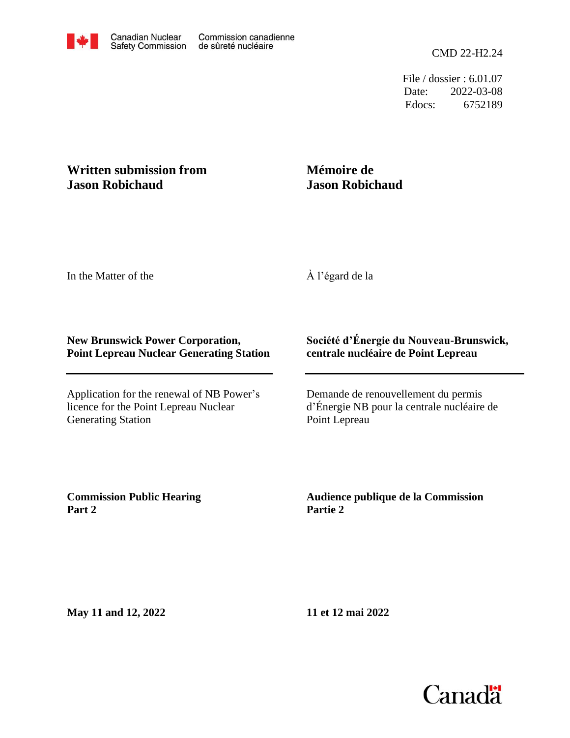File / dossier : 6.01.07 Date: 2022-03-08 Edocs: 6752189

## **Written submission from Jason Robichaud**

## **Mémoire de Jason Robichaud**

In the Matter of the

À l'égard de la

## **New Brunswick Power Corporation, Point Lepreau Nuclear Generating Station**

Application for the renewal of NB Power's licence for the Point Lepreau Nuclear Generating Station

## **Société d'Énergie du Nouveau-Brunswick, centrale nucléaire de Point Lepreau**

Demande de renouvellement du permis d'Énergie NB pour la centrale nucléaire de Point Lepreau

**Commission Public Hearing Part 2**

**Audience publique de la Commission Partie 2**

**May 11 and 12, 2022**

**11 et 12 mai 2022**